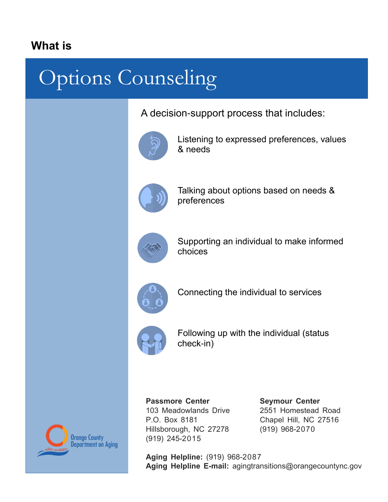## **What is**

## Options Counseling

A decision-support process that includes:



Listening to expressed preferences, values & needs



Talking about options based on needs & preferences



Supporting an individual to make informed choices



Connecting the individual to services



Following up with the individual (status check-in)



**Passmore Center**  103 Meadowlands Drive P.O. Box 8181 Hillsborough, NC 27278 (919) 245-2015

**Seymour Center**  2551 Homestead Road Chapel Hill, NC 27516 (919) 968-2070

**Aging Helpline:** (919) 968-2087 **Aging Helpline E-mail:** agingtransitions@orangecountync.gov